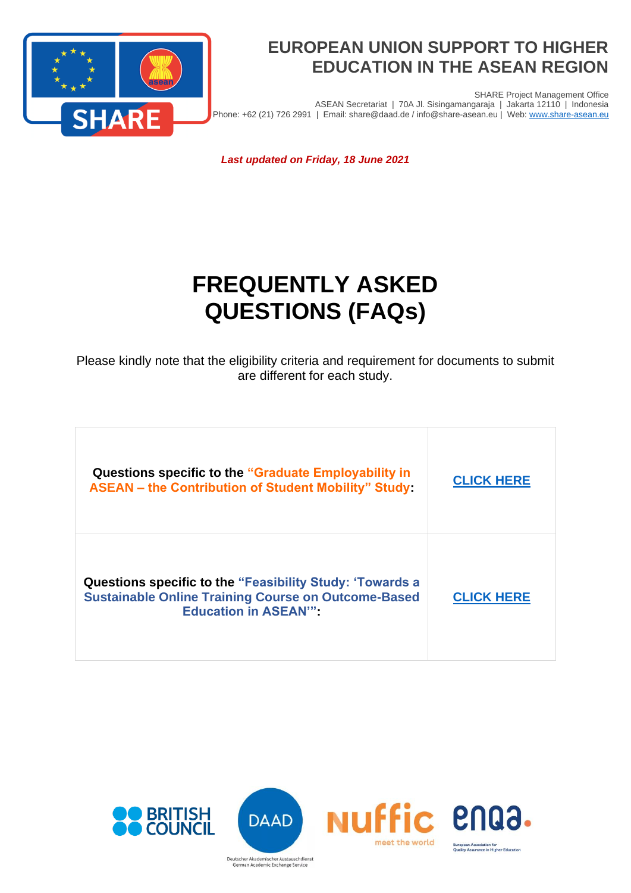

SHARE Project Management Office ASEAN Secretariat | 70A Jl. Sisingamangaraja | Jakarta 12110 | Indonesia Phone: +62 (21) 726 2991 | Email: share@daad.de / info@share-asean.eu | Web[: www.share-asean.eu](http://www.share-asean.eu/)

*Last updated on Friday, 18 June 2021*

# **FREQUENTLY ASKED QUESTIONS (FAQs)**

Please kindly note that the eligibility criteria and requirement for documents to submit are different for each study.

| Questions specific to the "Graduate Employability in<br><b>ASEAN - the Contribution of Student Mobility" Study:</b>                                          | <b>CLICK HERE</b> |
|--------------------------------------------------------------------------------------------------------------------------------------------------------------|-------------------|
| <b>Questions specific to the "Feasibility Study: 'Towards a</b><br><b>Sustainable Online Training Course on Outcome-Based</b><br><b>Education in ASEAN":</b> | <b>CLICK HERE</b> |

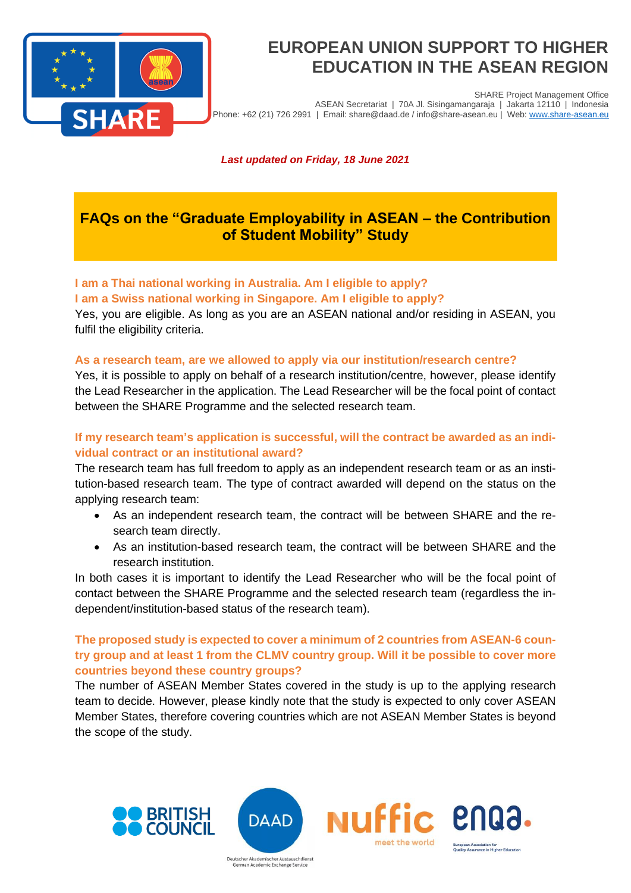

SHARE Project Management Office ASEAN Secretariat | 70A Jl. Sisingamangaraja | Jakarta 12110 | Indonesia Phone: +62 (21) 726 2991 | Email: share@daad.de / info@share-asean.eu | Web[: www.share-asean.eu](http://www.share-asean.eu/)

*Last updated on Friday, 18 June 2021*

# <span id="page-1-0"></span>**FAQs on the "Graduate Employability in ASEAN – the Contribution of Student Mobility" Study**

#### **I am a Thai national working in Australia. Am I eligible to apply? I am a Swiss national working in Singapore. Am I eligible to apply?**

Yes, you are eligible. As long as you are an ASEAN national and/or residing in ASEAN, you fulfil the eligibility criteria.

#### **As a research team, are we allowed to apply via our institution/research centre?**

Yes, it is possible to apply on behalf of a research institution/centre, however, please identify the Lead Researcher in the application. The Lead Researcher will be the focal point of contact between the SHARE Programme and the selected research team.

# **If my research team's application is successful, will the contract be awarded as an individual contract or an institutional award?**

The research team has full freedom to apply as an independent research team or as an institution-based research team. The type of contract awarded will depend on the status on the applying research team:

- As an independent research team, the contract will be between SHARE and the research team directly.
- As an institution-based research team, the contract will be between SHARE and the research institution.

In both cases it is important to identify the Lead Researcher who will be the focal point of contact between the SHARE Programme and the selected research team (regardless the independent/institution-based status of the research team).

# **The proposed study is expected to cover a minimum of 2 countries from ASEAN-6 country group and at least 1 from the CLMV country group. Will it be possible to cover more countries beyond these country groups?**

The number of ASEAN Member States covered in the study is up to the applying research team to decide. However, please kindly note that the study is expected to only cover ASEAN Member States, therefore covering countries which are not ASEAN Member States is beyond the scope of the study.



Deutscher Akademischer Austauschdienst German Academic Exchange Service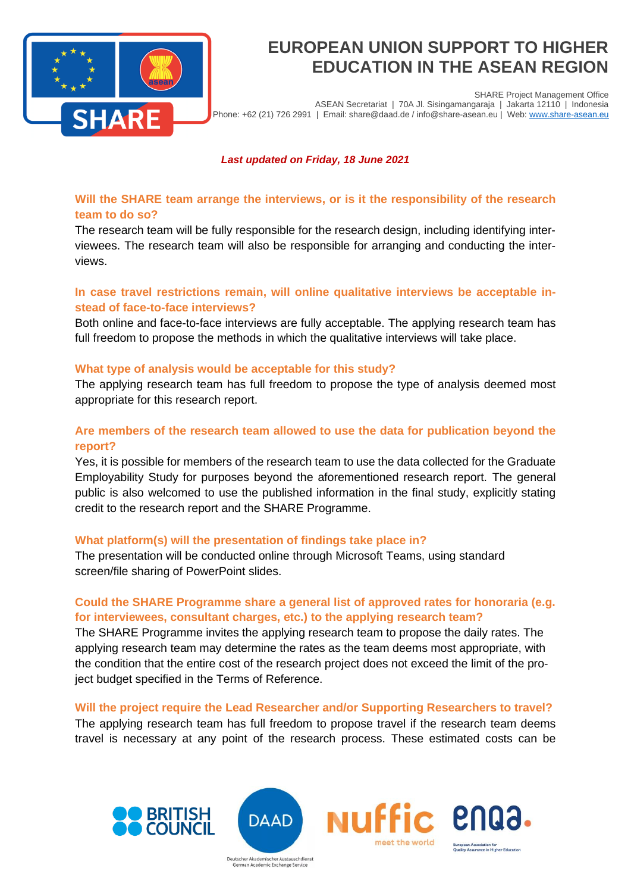

SHARE Project Management Office ASEAN Secretariat | 70A Jl. Sisingamangaraja | Jakarta 12110 | Indonesia Phone: +62 (21) 726 2991 | Email: share@daad.de / info@share-asean.eu | Web[: www.share-asean.eu](http://www.share-asean.eu/)

#### *Last updated on Friday, 18 June 2021*

**Will the SHARE team arrange the interviews, or is it the responsibility of the research team to do so?**

The research team will be fully responsible for the research design, including identifying interviewees. The research team will also be responsible for arranging and conducting the interviews.

### **In case travel restrictions remain, will online qualitative interviews be acceptable instead of face-to-face interviews?**

Both online and face-to-face interviews are fully acceptable. The applying research team has full freedom to propose the methods in which the qualitative interviews will take place.

#### **What type of analysis would be acceptable for this study?**

The applying research team has full freedom to propose the type of analysis deemed most appropriate for this research report.

### **Are members of the research team allowed to use the data for publication beyond the report?**

Yes, it is possible for members of the research team to use the data collected for the Graduate Employability Study for purposes beyond the aforementioned research report. The general public is also welcomed to use the published information in the final study, explicitly stating credit to the research report and the SHARE Programme.

#### **What platform(s) will the presentation of findings take place in?**

The presentation will be conducted online through Microsoft Teams, using standard screen/file sharing of PowerPoint slides.

# **Could the SHARE Programme share a general list of approved rates for honoraria (e.g. for interviewees, consultant charges, etc.) to the applying research team?**

The SHARE Programme invites the applying research team to propose the daily rates. The applying research team may determine the rates as the team deems most appropriate, with the condition that the entire cost of the research project does not exceed the limit of the project budget specified in the Terms of Reference.

#### **Will the project require the Lead Researcher and/or Supporting Researchers to travel?**

The applying research team has full freedom to propose travel if the research team deems travel is necessary at any point of the research process. These estimated costs can be



Deutscher Akademischer Austauschdienst German Academic Exchange Service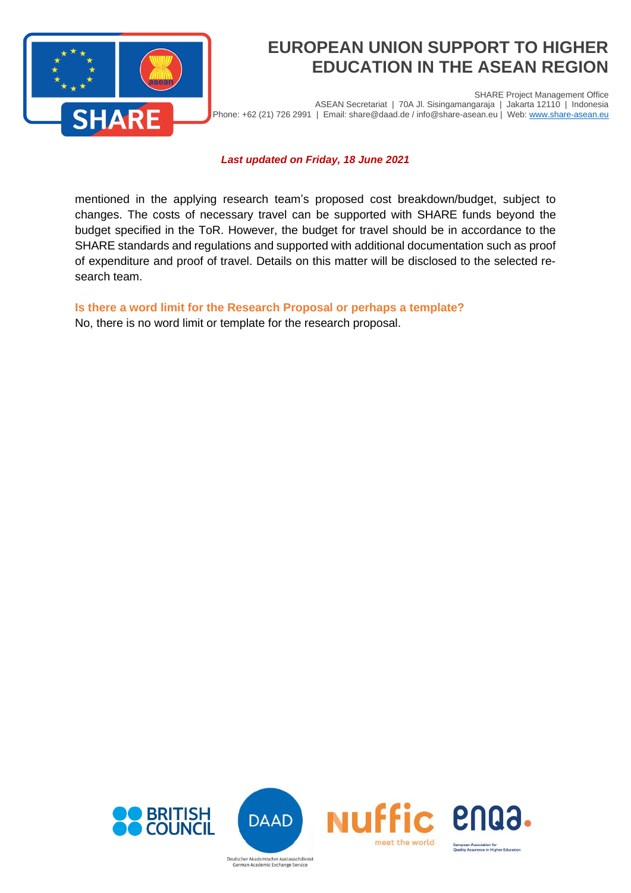

SHARE Project Management Office ASEAN Secretariat | 70A Jl. Sisingamangaraja | Jakarta 12110 | Indonesia Phone: +62 (21) 726 2991 | Email: share@daad.de / info@share-asean.eu | Web[: www.share-asean.eu](http://www.share-asean.eu/)

#### *Last updated on Friday, 18 June 2021*

mentioned in the applying research team's proposed cost breakdown/budget, subject to changes. The costs of necessary travel can be supported with SHARE funds beyond the budget specified in the ToR. However, the budget for travel should be in accordance to the SHARE standards and regulations and supported with additional documentation such as proof of expenditure and proof of travel. Details on this matter will be disclosed to the selected research team.

**Is there a word limit for the Research Proposal or perhaps a template?** 

No, there is no word limit or template for the research proposal.







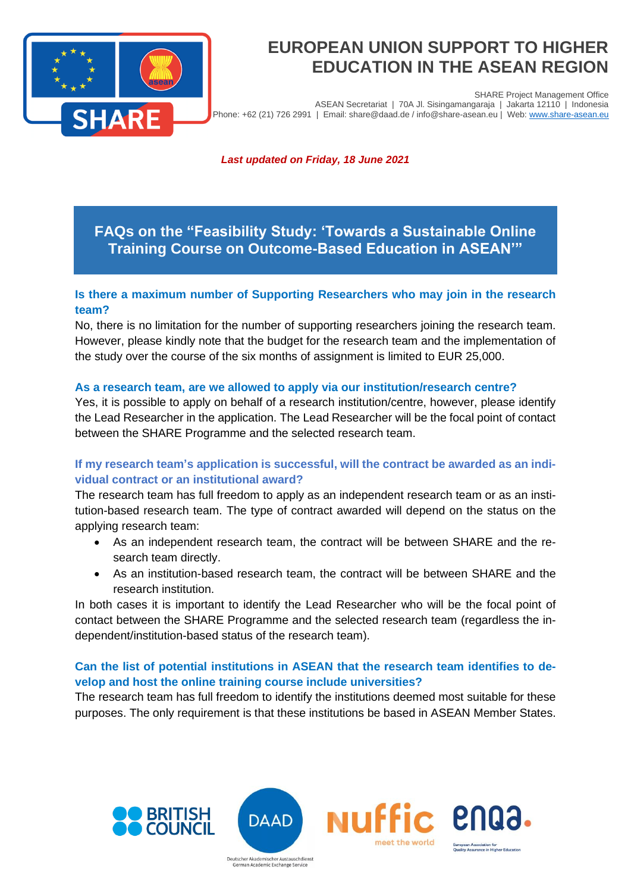

SHARE Project Management Office ASEAN Secretariat | 70A Jl. Sisingamangaraja | Jakarta 12110 | Indonesia Phone: +62 (21) 726 2991 | Email: share@daad.de / info@share-asean.eu | Web[: www.share-asean.eu](http://www.share-asean.eu/)

*Last updated on Friday, 18 June 2021*

# <span id="page-4-0"></span>**FAQs on the "Feasibility Study: 'Towards a Sustainable Online Training Course on Outcome-Based Education in ASEAN'"**

# **Is there a maximum number of Supporting Researchers who may join in the research team?**

No, there is no limitation for the number of supporting researchers joining the research team. However, please kindly note that the budget for the research team and the implementation of the study over the course of the six months of assignment is limited to EUR 25,000.

### **As a research team, are we allowed to apply via our institution/research centre?**

Yes, it is possible to apply on behalf of a research institution/centre, however, please identify the Lead Researcher in the application. The Lead Researcher will be the focal point of contact between the SHARE Programme and the selected research team.

# **If my research team's application is successful, will the contract be awarded as an individual contract or an institutional award?**

The research team has full freedom to apply as an independent research team or as an institution-based research team. The type of contract awarded will depend on the status on the applying research team:

- As an independent research team, the contract will be between SHARE and the research team directly.
- As an institution-based research team, the contract will be between SHARE and the research institution.

In both cases it is important to identify the Lead Researcher who will be the focal point of contact between the SHARE Programme and the selected research team (regardless the independent/institution-based status of the research team).

# **Can the list of potential institutions in ASEAN that the research team identifies to develop and host the online training course include universities?**

The research team has full freedom to identify the institutions deemed most suitable for these purposes. The only requirement is that these institutions be based in ASEAN Member States.



German Academic Exchange Service